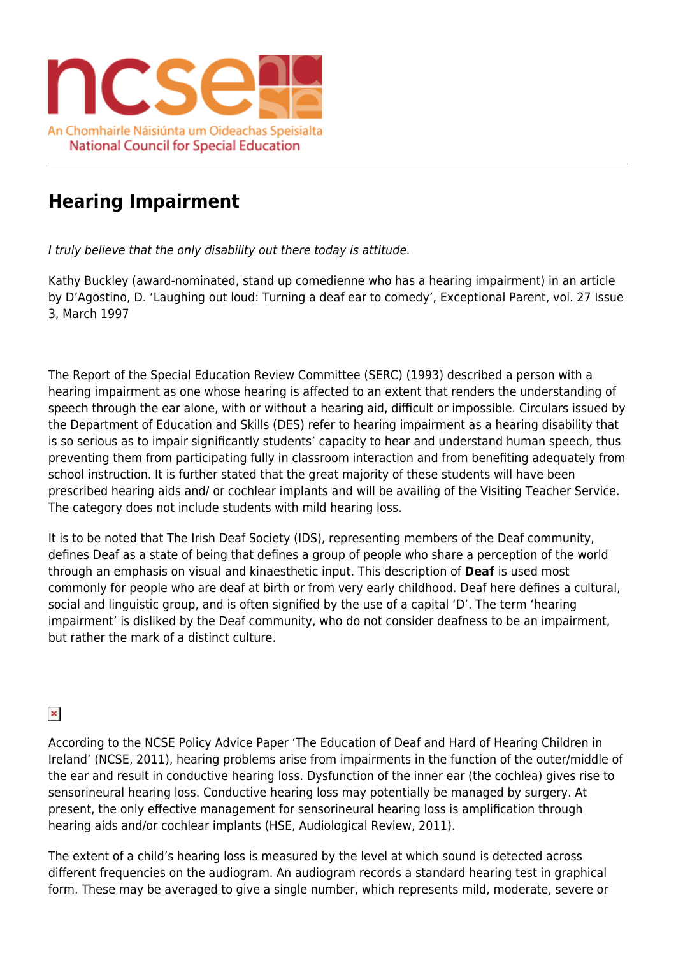

## **Hearing Impairment**

I truly believe that the only disability out there today is attitude.

Kathy Buckley (award-nominated, stand up comedienne who has a hearing impairment) in an article by D'Agostino, D. 'Laughing out loud: Turning a deaf ear to comedy', Exceptional Parent, vol. 27 Issue 3, March 1997

The Report of the Special Education Review Committee (SERC) (1993) described a person with a hearing impairment as one whose hearing is affected to an extent that renders the understanding of speech through the ear alone, with or without a hearing aid, difficult or impossible. Circulars issued by the Department of Education and Skills (DES) refer to hearing impairment as a hearing disability that is so serious as to impair significantly students' capacity to hear and understand human speech, thus preventing them from participating fully in classroom interaction and from benefiting adequately from school instruction. It is further stated that the great majority of these students will have been prescribed hearing aids and/ or cochlear implants and will be availing of the Visiting Teacher Service. The category does not include students with mild hearing loss.

It is to be noted that The Irish Deaf Society (IDS), representing members of the Deaf community, defines Deaf as a state of being that defines a group of people who share a perception of the world through an emphasis on visual and kinaesthetic input. This description of **Deaf** is used most commonly for people who are deaf at birth or from very early childhood. Deaf here defines a cultural, social and linguistic group, and is often signified by the use of a capital 'D'. The term 'hearing impairment' is disliked by the Deaf community, who do not consider deafness to be an impairment, but rather the mark of a distinct culture.

## $\pmb{\times}$

According to the NCSE Policy Advice Paper 'The Education of Deaf and Hard of Hearing Children in Ireland' (NCSE, 2011), hearing problems arise from impairments in the function of the outer/middle of the ear and result in conductive hearing loss. Dysfunction of the inner ear (the cochlea) gives rise to sensorineural hearing loss. Conductive hearing loss may potentially be managed by surgery. At present, the only effective management for sensorineural hearing loss is amplification through hearing aids and/or cochlear implants (HSE, Audiological Review, 2011).

The extent of a child's hearing loss is measured by the level at which sound is detected across different frequencies on the audiogram. An audiogram records a standard hearing test in graphical form. These may be averaged to give a single number, which represents mild, moderate, severe or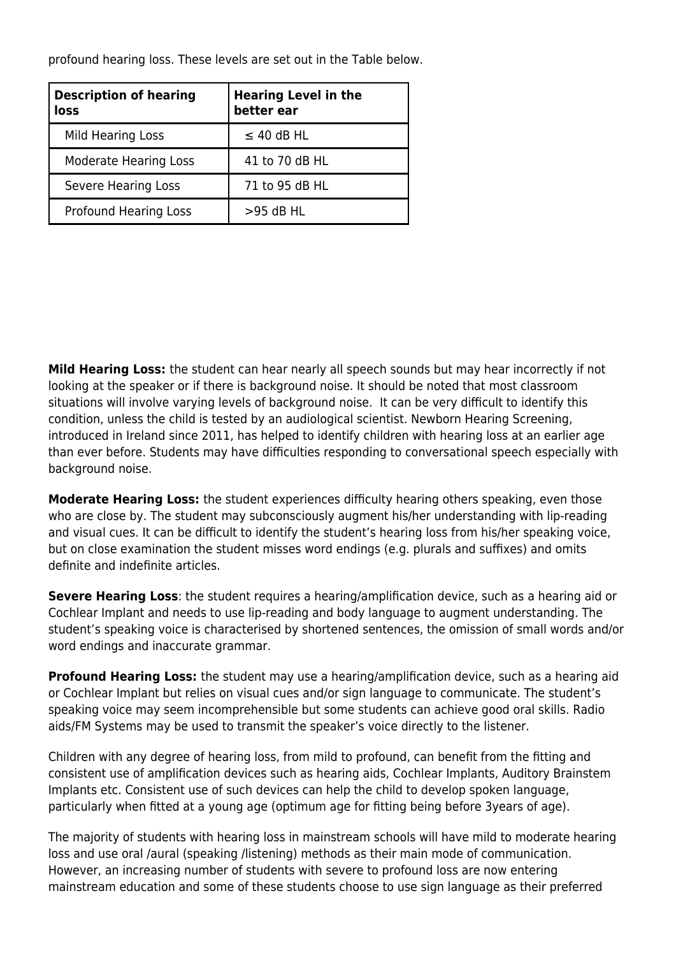profound hearing loss. These levels are set out in the Table below.

| <b>Description of hearing</b><br>loss | <b>Hearing Level in the</b><br>better ear |
|---------------------------------------|-------------------------------------------|
| Mild Hearing Loss                     | $\leq$ 40 dB HL                           |
| <b>Moderate Hearing Loss</b>          | 41 to 70 dB HL                            |
| Severe Hearing Loss                   | 71 to 95 dB HL                            |
| Profound Hearing Loss                 | $>95$ dB HL                               |

**Mild Hearing Loss:** the student can hear nearly all speech sounds but may hear incorrectly if not looking at the speaker or if there is background noise. It should be noted that most classroom situations will involve varying levels of background noise. It can be very difficult to identify this condition, unless the child is tested by an audiological scientist. Newborn Hearing Screening, introduced in Ireland since 2011, has helped to identify children with hearing loss at an earlier age than ever before. Students may have difficulties responding to conversational speech especially with background noise.

**Moderate Hearing Loss:** the student experiences difficulty hearing others speaking, even those who are close by. The student may subconsciously augment his/her understanding with lip-reading and visual cues. It can be difficult to identify the student's hearing loss from his/her speaking voice, but on close examination the student misses word endings (e.g. plurals and suffixes) and omits definite and indefinite articles.

**Severe Hearing Loss**: the student requires a hearing/amplification device, such as a hearing aid or Cochlear Implant and needs to use lip-reading and body language to augment understanding. The student's speaking voice is characterised by shortened sentences, the omission of small words and/or word endings and inaccurate grammar.

**Profound Hearing Loss:** the student may use a hearing/amplification device, such as a hearing aid or Cochlear Implant but relies on visual cues and/or sign language to communicate. The student's speaking voice may seem incomprehensible but some students can achieve good oral skills. Radio aids/FM Systems may be used to transmit the speaker's voice directly to the listener.

Children with any degree of hearing loss, from mild to profound, can benefit from the fitting and consistent use of amplification devices such as hearing aids, Cochlear Implants, Auditory Brainstem Implants etc. Consistent use of such devices can help the child to develop spoken language, particularly when fitted at a young age (optimum age for fitting being before 3years of age).

The majority of students with hearing loss in mainstream schools will have mild to moderate hearing loss and use oral /aural (speaking /listening) methods as their main mode of communication. However, an increasing number of students with severe to profound loss are now entering mainstream education and some of these students choose to use sign language as their preferred